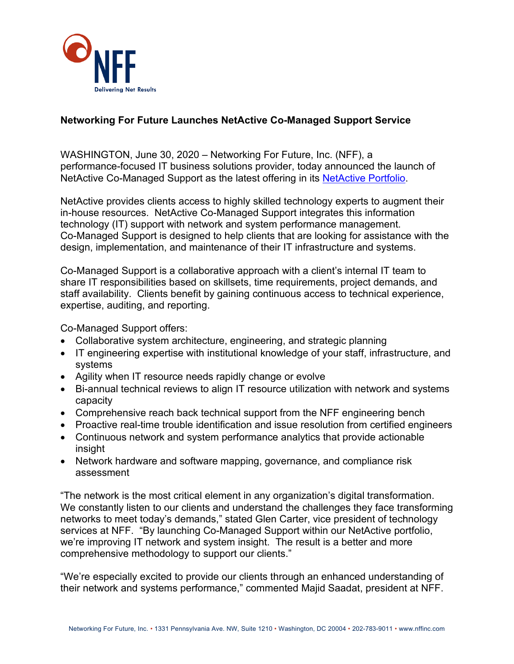

## **Networking For Future Launches NetActive Co-Managed Support Service**

WASHINGTON, June 30, 2020 – Networking For Future, Inc. (NFF), a performance-focused IT business solutions provider, today announced the launch of NetActive Co-Managed Support as the latest offering in its [NetActive Portfolio.](https://www.nffinc.com/services/professional-services/)

NetActive provides clients access to highly skilled technology experts to augment their in-house resources. NetActive Co-Managed Support integrates this information technology (IT) support with network and system performance management. Co-Managed Support is designed to help clients that are looking for assistance with the design, implementation, and maintenance of their IT infrastructure and systems.

Co-Managed Support is a collaborative approach with a client's internal IT team to share IT responsibilities based on skillsets, time requirements, project demands, and staff availability. Clients benefit by gaining continuous access to technical experience, expertise, auditing, and reporting.

Co-Managed Support offers:

- Collaborative system architecture, engineering, and strategic planning
- IT engineering expertise with institutional knowledge of your staff, infrastructure, and systems
- Agility when IT resource needs rapidly change or evolve
- Bi-annual technical reviews to align IT resource utilization with network and systems capacity
- Comprehensive reach back technical support from the NFF engineering bench
- Proactive real-time trouble identification and issue resolution from certified engineers
- Continuous network and system performance analytics that provide actionable insight
- Network hardware and software mapping, governance, and compliance risk assessment

"The network is the most critical element in any organization's digital transformation. We constantly listen to our clients and understand the challenges they face transforming networks to meet today's demands," stated Glen Carter, vice president of technology services at NFF. "By launching Co-Managed Support within our NetActive portfolio, we're improving IT network and system insight. The result is a better and more comprehensive methodology to support our clients."

"We're especially excited to provide our clients through an enhanced understanding of their network and systems performance," commented Majid Saadat, president at NFF.